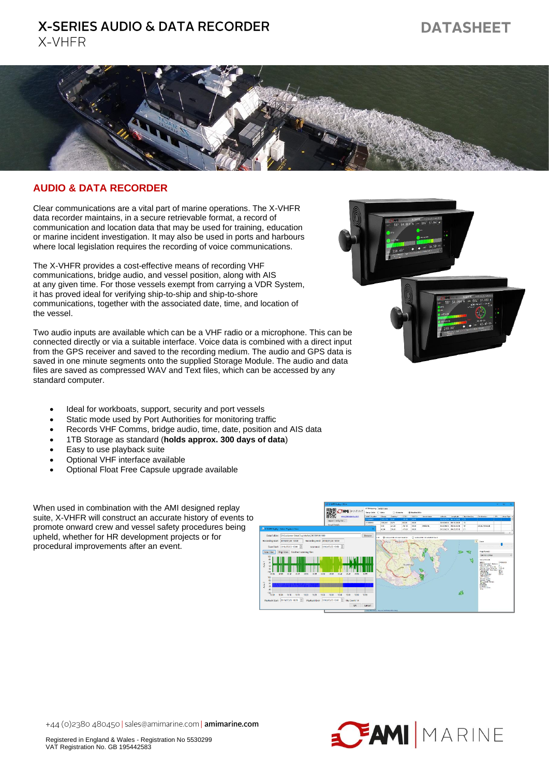## **X-SERIES AUDIO & DATA RECORDER** X-VHFR

# **DATASHEET**



#### **AUDIO & DATA RECORDER**

Clear communications are a vital part of marine operations. The X-VHFR data recorder maintains, in a secure retrievable format, a record of communication and location data that may be used for training, education or marine incident investigation. It may also be used in ports and harbours where local legislation requires the recording of voice communications.

The X-VHFR provides a cost-effective means of recording VHF communications, bridge audio, and vessel position, along with AIS at any given time. For those vessels exempt from carrying a VDR System, it has proved ideal for verifying ship-to-ship and ship-to-shore communications, together with the associated date, time, and location of the vessel.

Two audio inputs are available which can be a VHF radio or a microphone. This can be connected directly or via a suitable interface. Voice data is combined with a direct input from the GPS receiver and saved to the recording medium. The audio and GPS data is saved in one minute segments onto the supplied Storage Module. The audio and data files are saved as compressed WAV and Text files, which can be accessed by any standard computer.

- Ideal for workboats, support, security and port vessels
- Static mode used by Port Authorities for monitoring traffic
- Records VHF Comms, bridge audio, time, date, position and AIS data
- 1TB Storage as standard (**holds approx. 300 days of data**)
- Easy to use playback suite
- Optional VHF interface available
- Optional Float Free Capsule upgrade available

When used in combination with the AMI designed replay suite, X-VHFR will construct an accurate history of events to promote onward crew and vessel safety procedures being upheld, whether for HR development projects or for procedural improvements after an event.